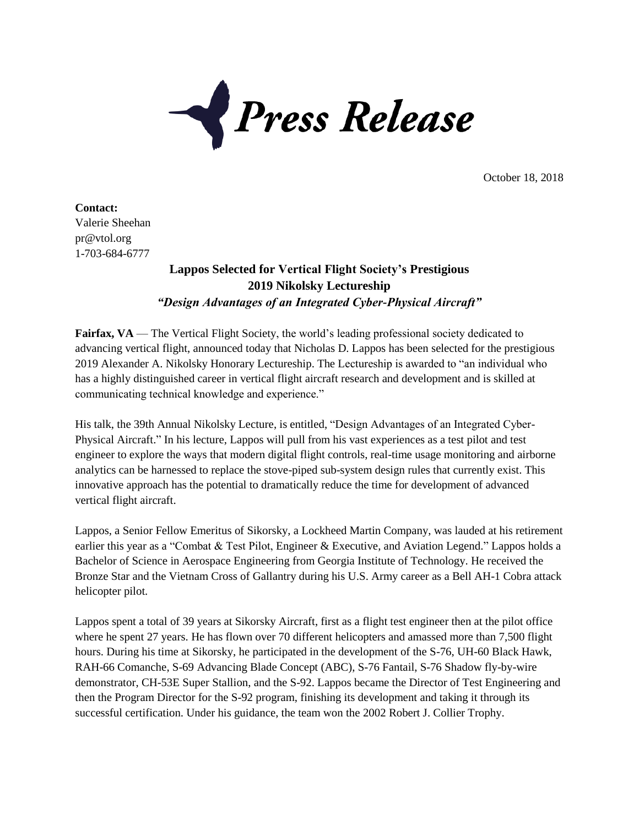

October 18, 2018

**Contact:**  Valerie Sheehan pr@vtol.org 1-703-684-6777

## **Lappos Selected for Vertical Flight Society's Prestigious 2019 Nikolsky Lectureship** *"Design Advantages of an Integrated Cyber-Physical Aircraft"*

Fairfax, VA — The Vertical Flight Society, the world's leading professional society dedicated to advancing vertical flight, announced today that Nicholas D. Lappos has been selected for the prestigious 2019 Alexander A. Nikolsky Honorary Lectureship. The Lectureship is awarded to "an individual who has a highly distinguished career in vertical flight aircraft research and development and is skilled at communicating technical knowledge and experience."

His talk, the 39th Annual Nikolsky Lecture, is entitled, "Design Advantages of an Integrated Cyber-Physical Aircraft." In his lecture, Lappos will pull from his vast experiences as a test pilot and test engineer to explore the ways that modern digital flight controls, real-time usage monitoring and airborne analytics can be harnessed to replace the stove-piped sub-system design rules that currently exist. This innovative approach has the potential to dramatically reduce the time for development of advanced vertical flight aircraft.

Lappos, a Senior Fellow Emeritus of Sikorsky, a Lockheed Martin Company, was lauded at his retirement earlier this year as a "Combat & Test Pilot, Engineer & Executive, and Aviation Legend." Lappos holds a Bachelor of Science in Aerospace Engineering from Georgia Institute of Technology. He received the Bronze Star and the Vietnam Cross of Gallantry during his U.S. Army career as a Bell AH-1 Cobra attack helicopter pilot.

Lappos spent a total of 39 years at Sikorsky Aircraft, first as a flight test engineer then at the pilot office where he spent 27 years. He has flown over 70 different helicopters and amassed more than 7,500 flight hours. During his time at Sikorsky, he participated in the development of the S-76, UH-60 Black Hawk, RAH-66 Comanche, S-69 Advancing Blade Concept (ABC), S-76 Fantail, S-76 Shadow fly-by-wire demonstrator, CH-53E Super Stallion, and the S-92. Lappos became the Director of Test Engineering and then the Program Director for the S-92 program, finishing its development and taking it through its successful certification. Under his guidance, the team won the 2002 Robert J. Collier Trophy.